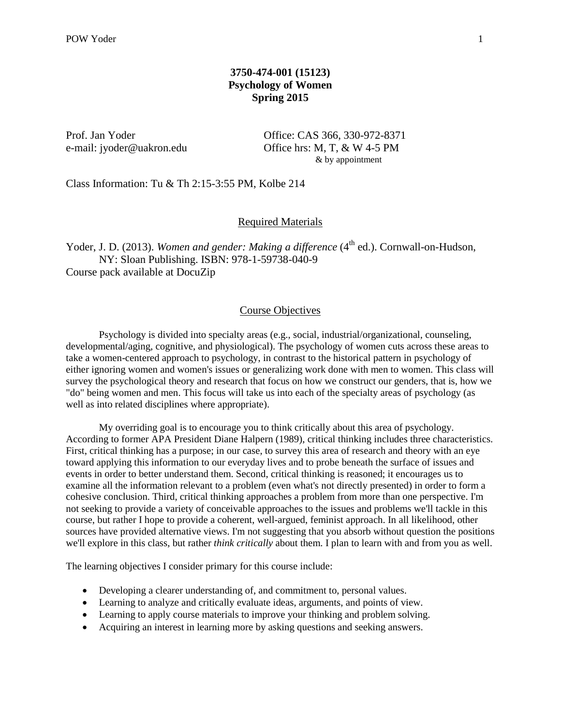### **3750-474-001 (15123) Psychology of Women Spring 2015**

Prof. Jan Yoder **Office: CAS 366**, 330-972-8371 e-mail: jyoder@uakron.edu Office hrs: M, T, & W 4-5 PM & by appointment

Class Information: Tu & Th 2:15-3:55 PM, Kolbe 214

#### Required Materials

Yoder, J. D. (2013). Women and gender: Making a difference (4<sup>th</sup> ed.). Cornwall-on-Hudson, NY: Sloan Publishing. ISBN: 978-1-59738-040-9 Course pack available at DocuZip

#### Course Objectives

Psychology is divided into specialty areas (e.g., social, industrial/organizational, counseling, developmental/aging, cognitive, and physiological). The psychology of women cuts across these areas to take a women-centered approach to psychology, in contrast to the historical pattern in psychology of either ignoring women and women's issues or generalizing work done with men to women. This class will survey the psychological theory and research that focus on how we construct our genders, that is, how we "do" being women and men. This focus will take us into each of the specialty areas of psychology (as well as into related disciplines where appropriate).

My overriding goal is to encourage you to think critically about this area of psychology. According to former APA President Diane Halpern (1989), critical thinking includes three characteristics. First, critical thinking has a purpose; in our case, to survey this area of research and theory with an eye toward applying this information to our everyday lives and to probe beneath the surface of issues and events in order to better understand them. Second, critical thinking is reasoned; it encourages us to examine all the information relevant to a problem (even what's not directly presented) in order to form a cohesive conclusion. Third, critical thinking approaches a problem from more than one perspective. I'm not seeking to provide a variety of conceivable approaches to the issues and problems we'll tackle in this course, but rather I hope to provide a coherent, well-argued, feminist approach. In all likelihood, other sources have provided alternative views. I'm not suggesting that you absorb without question the positions we'll explore in this class, but rather *think critically* about them. I plan to learn with and from you as well.

The learning objectives I consider primary for this course include:

- Developing a clearer understanding of, and commitment to, personal values.
- Learning to analyze and critically evaluate ideas, arguments, and points of view.
- Learning to apply course materials to improve your thinking and problem solving.
- Acquiring an interest in learning more by asking questions and seeking answers.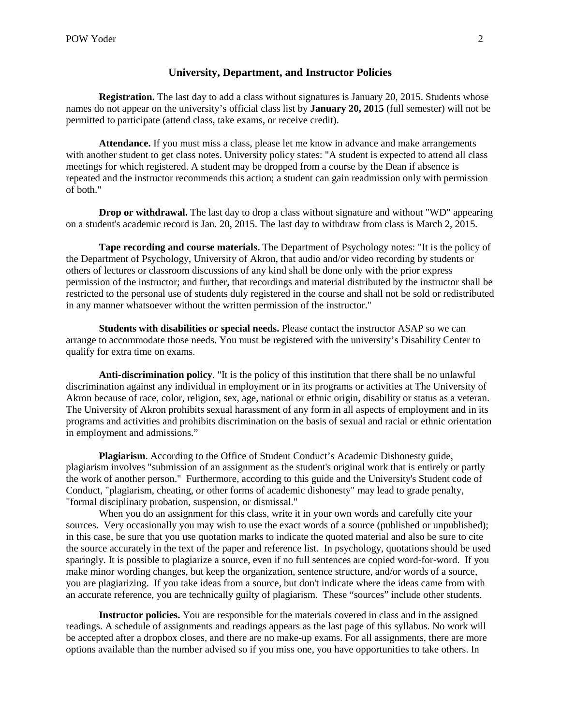#### **University, Department, and Instructor Policies**

**Registration.** The last day to add a class without signatures is January 20, 2015. Students whose names do not appear on the university's official class list by **January 20, 2015** (full semester) will not be permitted to participate (attend class, take exams, or receive credit).

**Attendance.** If you must miss a class, please let me know in advance and make arrangements with another student to get class notes. University policy states: "A student is expected to attend all class meetings for which registered. A student may be dropped from a course by the Dean if absence is repeated and the instructor recommends this action; a student can gain readmission only with permission of both."

**Drop or withdrawal.** The last day to drop a class without signature and without "WD" appearing on a student's academic record is Jan. 20, 2015. The last day to withdraw from class is March 2, 2015.

**Tape recording and course materials.** The Department of Psychology notes: "It is the policy of the Department of Psychology, University of Akron, that audio and/or video recording by students or others of lectures or classroom discussions of any kind shall be done only with the prior express permission of the instructor; and further, that recordings and material distributed by the instructor shall be restricted to the personal use of students duly registered in the course and shall not be sold or redistributed in any manner whatsoever without the written permission of the instructor."

**Students with disabilities or special needs.** Please contact the instructor ASAP so we can arrange to accommodate those needs. You must be registered with the university's Disability Center to qualify for extra time on exams.

**Anti-discrimination policy***.* "It is the policy of this institution that there shall be no unlawful discrimination against any individual in employment or in its programs or activities at The University of Akron because of race, color, religion, sex, age, national or ethnic origin, disability or status as a veteran. The University of Akron prohibits sexual harassment of any form in all aspects of employment and in its programs and activities and prohibits discrimination on the basis of sexual and racial or ethnic orientation in employment and admissions."

**Plagiarism**. According to the Office of Student Conduct's Academic Dishonesty guide, plagiarism involves "submission of an assignment as the student's original work that is entirely or partly the work of another person." Furthermore, according to this guide and the University's Student code of Conduct, "plagiarism, cheating, or other forms of academic dishonesty" may lead to grade penalty, "formal disciplinary probation, suspension, or dismissal."

When you do an assignment for this class, write it in your own words and carefully cite your sources. Very occasionally you may wish to use the exact words of a source (published or unpublished); in this case, be sure that you use quotation marks to indicate the quoted material and also be sure to cite the source accurately in the text of the paper and reference list. In psychology, quotations should be used sparingly. It is possible to plagiarize a source, even if no full sentences are copied word-for-word. If you make minor wording changes, but keep the organization, sentence structure, and/or words of a source, you are plagiarizing. If you take ideas from a source, but don't indicate where the ideas came from with an accurate reference, you are technically guilty of plagiarism. These "sources" include other students.

**Instructor policies.** You are responsible for the materials covered in class and in the assigned readings. A schedule of assignments and readings appears as the last page of this syllabus. No work will be accepted after a dropbox closes, and there are no make-up exams. For all assignments, there are more options available than the number advised so if you miss one, you have opportunities to take others. In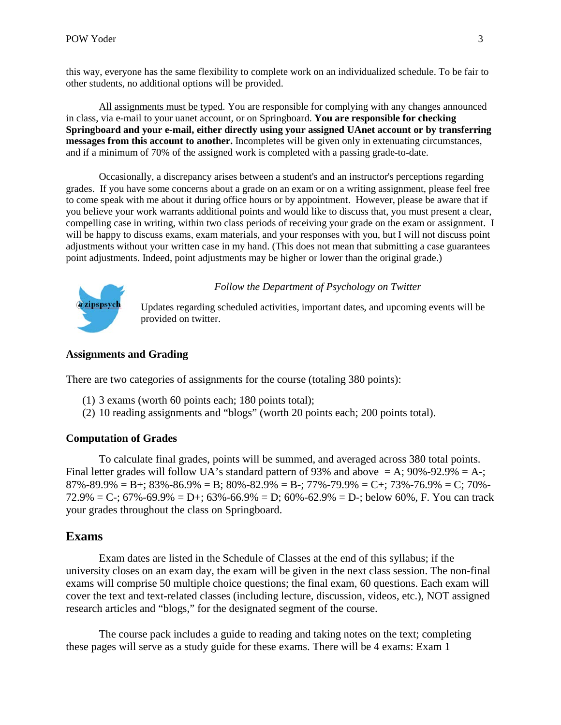this way, everyone has the same flexibility to complete work on an individualized schedule. To be fair to other students, no additional options will be provided.

All assignments must be typed. You are responsible for complying with any changes announced in class, via e-mail to your uanet account, or on Springboard. **You are responsible for checking Springboard and your e-mail, either directly using your assigned UAnet account or by transferring messages from this account to another.** Incompletes will be given only in extenuating circumstances, and if a minimum of 70% of the assigned work is completed with a passing grade-to-date.

Occasionally, a discrepancy arises between a student's and an instructor's perceptions regarding grades. If you have some concerns about a grade on an exam or on a writing assignment, please feel free to come speak with me about it during office hours or by appointment. However, please be aware that if you believe your work warrants additional points and would like to discuss that, you must present a clear, compelling case in writing, within two class periods of receiving your grade on the exam or assignment. I will be happy to discuss exams, exam materials, and your responses with you, but I will not discuss point adjustments without your written case in my hand. (This does not mean that submitting a case guarantees point adjustments. Indeed, point adjustments may be higher or lower than the original grade.)



*Follow the Department of Psychology on Twitter*

Updates regarding scheduled activities, important dates, and upcoming events will be provided on twitter.

### **Assignments and Grading**

There are two categories of assignments for the course (totaling 380 points):

- (1) 3 exams (worth 60 points each; 180 points total);
- (2) 10 reading assignments and "blogs" (worth 20 points each; 200 points total).

### **Computation of Grades**

To calculate final grades, points will be summed, and averaged across 380 total points. Final letter grades will follow UA's standard pattern of 93% and above  $= A$ ; 90%-92.9%  $= A$ -; 87%-89.9% = B+; 83%-86.9% = B; 80%-82.9% = B-; 77%-79.9% = C+; 73%-76.9% = C; 70%-72.9% = C-; 67%-69.9% = D+; 63%-66.9% = D; 60%-62.9% = D-; below 60%, F. You can track your grades throughout the class on Springboard.

## **Exams**

Exam dates are listed in the Schedule of Classes at the end of this syllabus; if the university closes on an exam day, the exam will be given in the next class session. The non-final exams will comprise 50 multiple choice questions; the final exam, 60 questions. Each exam will cover the text and text-related classes (including lecture, discussion, videos, etc.), NOT assigned research articles and "blogs," for the designated segment of the course.

The course pack includes a guide to reading and taking notes on the text; completing these pages will serve as a study guide for these exams. There will be 4 exams: Exam 1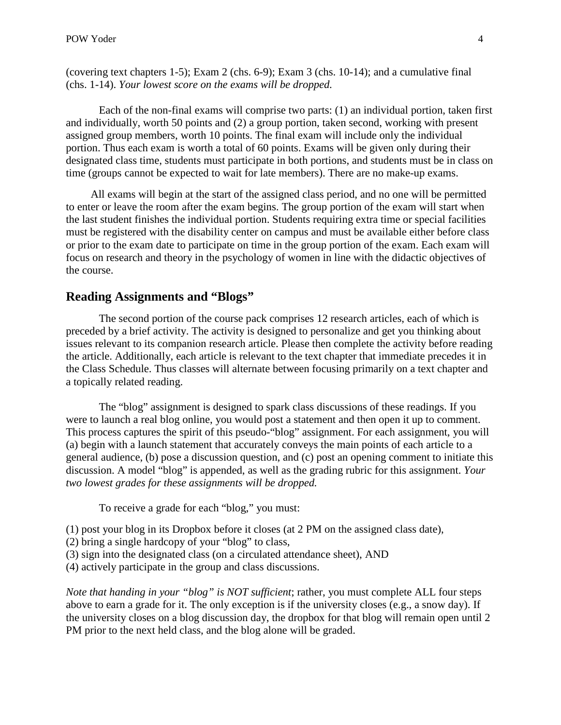(covering text chapters 1-5); Exam 2 (chs. 6-9); Exam 3 (chs. 10-14); and a cumulative final (chs. 1-14). *Your lowest score on the exams will be dropped.*

Each of the non-final exams will comprise two parts: (1) an individual portion, taken first and individually, worth 50 points and (2) a group portion, taken second, working with present assigned group members, worth 10 points. The final exam will include only the individual portion. Thus each exam is worth a total of 60 points. Exams will be given only during their designated class time, students must participate in both portions, and students must be in class on time (groups cannot be expected to wait for late members). There are no make-up exams.

All exams will begin at the start of the assigned class period, and no one will be permitted to enter or leave the room after the exam begins. The group portion of the exam will start when the last student finishes the individual portion. Students requiring extra time or special facilities must be registered with the disability center on campus and must be available either before class or prior to the exam date to participate on time in the group portion of the exam. Each exam will focus on research and theory in the psychology of women in line with the didactic objectives of the course.

# **Reading Assignments and "Blogs"**

The second portion of the course pack comprises 12 research articles, each of which is preceded by a brief activity. The activity is designed to personalize and get you thinking about issues relevant to its companion research article. Please then complete the activity before reading the article. Additionally, each article is relevant to the text chapter that immediate precedes it in the Class Schedule. Thus classes will alternate between focusing primarily on a text chapter and a topically related reading.

The "blog" assignment is designed to spark class discussions of these readings. If you were to launch a real blog online, you would post a statement and then open it up to comment. This process captures the spirit of this pseudo-"blog" assignment. For each assignment, you will (a) begin with a launch statement that accurately conveys the main points of each article to a general audience, (b) pose a discussion question, and (c) post an opening comment to initiate this discussion. A model "blog" is appended, as well as the grading rubric for this assignment. *Your two lowest grades for these assignments will be dropped.*

To receive a grade for each "blog," you must:

- (1) post your blog in its Dropbox before it closes (at 2 PM on the assigned class date),
- (2) bring a single hardcopy of your "blog" to class,
- (3) sign into the designated class (on a circulated attendance sheet), AND
- (4) actively participate in the group and class discussions.

*Note that handing in your "blog" is NOT sufficient*; rather, you must complete ALL four steps above to earn a grade for it. The only exception is if the university closes (e.g., a snow day). If the university closes on a blog discussion day, the dropbox for that blog will remain open until 2 PM prior to the next held class, and the blog alone will be graded.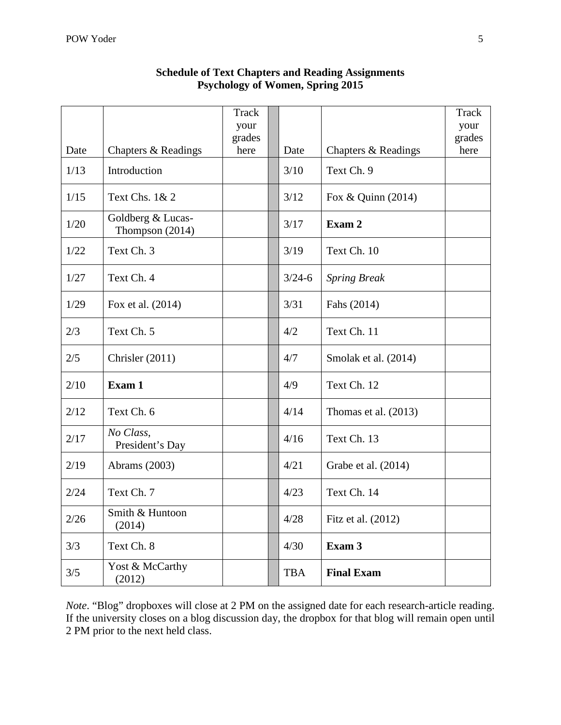|      |                                      | Track<br>your |            |                        | Track<br>your |
|------|--------------------------------------|---------------|------------|------------------------|---------------|
|      |                                      | grades        |            |                        | grades        |
| Date | Chapters & Readings                  | here          | Date       | Chapters & Readings    | here          |
| 1/13 | Introduction                         |               | 3/10       | Text Ch. 9             |               |
| 1/15 | Text Chs. 1& 2                       |               | 3/12       | Fox & Quinn (2014)     |               |
| 1/20 | Goldberg & Lucas-<br>Thompson (2014) |               | 3/17       | Exam 2                 |               |
| 1/22 | Text Ch. 3                           |               | 3/19       | Text Ch. 10            |               |
| 1/27 | Text Ch. 4                           |               | $3/24 - 6$ | <b>Spring Break</b>    |               |
| 1/29 | Fox et al. (2014)                    |               | 3/31       | Fahs (2014)            |               |
| 2/3  | Text Ch. 5                           |               | 4/2        | Text Ch. 11            |               |
| 2/5  | Chrisler (2011)                      |               | 4/7        | Smolak et al. (2014)   |               |
| 2/10 | Exam 1                               |               | 4/9        | Text Ch. 12            |               |
| 2/12 | Text Ch. 6                           |               | 4/14       | Thomas et al. $(2013)$ |               |
| 2/17 | No Class,<br>President's Day         |               | 4/16       | Text Ch. 13            |               |
| 2/19 | Abrams (2003)                        |               | 4/21       | Grabe et al. (2014)    |               |
| 2/24 | Text Ch. 7                           |               | 4/23       | Text Ch. 14            |               |
| 2/26 | Smith & Huntoon<br>(2014)            |               | 4/28       | Fitz et al. (2012)     |               |
| 3/3  | Text Ch. 8                           |               | 4/30       | Exam 3                 |               |
| 3/5  | Yost & McCarthy<br>(2012)            |               | <b>TBA</b> | <b>Final Exam</b>      |               |

# **Schedule of Text Chapters and Reading Assignments Psychology of Women, Spring 2015**

*Note*. "Blog" dropboxes will close at 2 PM on the assigned date for each research-article reading. If the university closes on a blog discussion day, the dropbox for that blog will remain open until 2 PM prior to the next held class.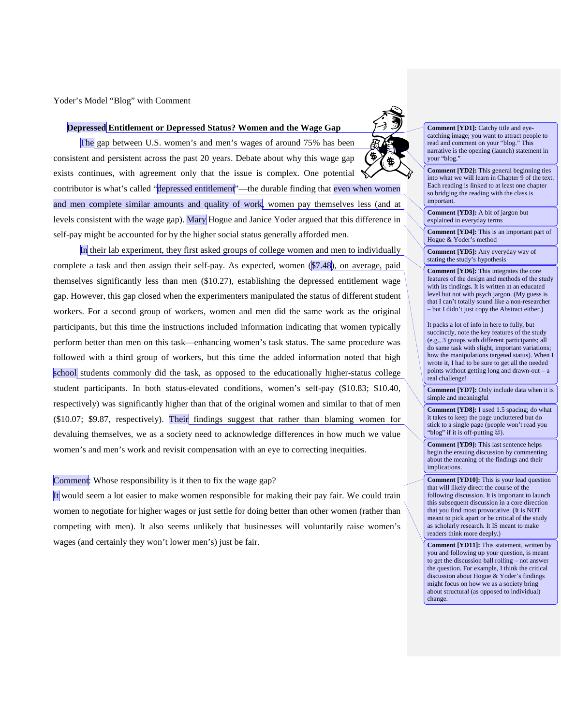Yoder's Model "Blog" with Comment

#### **Depressed Entitlement or Depressed Status? Women and the Wage Gap**

The gap between U.S. women's and men's wages of around 75% has been consistent and persistent across the past 20 years. Debate about why this wage gap exists continues, with agreement only that the issue is complex. One potential contributor is what's called "depressed entitlement"—the durable finding that even when women and men complete similar amounts and quality of work, women pay themselves less (and at levels consistent with the wage gap). Mary Hogue and Janice Yoder argued that this difference in self-pay might be accounted for by the higher social status generally afforded men.

In their lab experiment, they first asked groups of college women and men to individually complete a task and then assign their self-pay. As expected, women (\$7.48), on average, paid themselves significantly less than men (\$10.27), establishing the depressed entitlement wage gap. However, this gap closed when the experimenters manipulated the status of different student workers. For a second group of workers, women and men did the same work as the original participants, but this time the instructions included information indicating that women typically perform better than men on this task—enhancing women's task status. The same procedure was followed with a third group of workers, but this time the added information noted that high school students commonly did the task, as opposed to the educationally higher-status college student participants. In both status-elevated conditions, women's self-pay (\$10.83; \$10.40, respectively) was significantly higher than that of the original women and similar to that of men (\$10.07; \$9.87, respectively). Their findings suggest that rather than blaming women for devaluing themselves, we as a society need to acknowledge differences in how much we value women's and men's work and revisit compensation with an eye to correcting inequities.

Comment: Whose responsibility is it then to fix the wage gap?

It would seem a lot easier to make women responsible for making their pay fair. We could train women to negotiate for higher wages or just settle for doing better than other women (rather than competing with men). It also seems unlikely that businesses will voluntarily raise women's wages (and certainly they won't lower men's) just be fair.

**Comment [YD1]:** Catchy title and eyecatching image; you want to attract people to read and comment on your "blog." This narrative is the opening (launch) statement in your "blog."

**Comment [YD2]:** This general beginning ties into what we will learn in Chapter 9 of the text. Each reading is linked to at least one chapter so bridging the reading with the class is important.

**Comment [YD3]:** A bit of jargon but explained in everyday terms

**Comment [YD4]:** This is an important part of Hogue & Yoder's method

**Comment [YD5]:** Any everyday way of stating the study's hypothesis

**Comment [YD6]:** This integrates the core features of the design and methods of the study with its findings. It is written at an educated level but not with psych jargon. (My guess is that I can't totally sound like a non-researcher – but I didn't just copy the Abstract either.)

It packs a lot of info in here to fully, but succinctly, note the key features of the study (e.g., 3 groups with different participants; all do same task with slight, important variations; how the manipulations targeted status). When I wrote it, I had to be sure to get all the needed points without getting long and drawn-out – a real challenge!

**Comment [YD7]:** Only include data when it is simple and meaningful

**Comment [YD8]:** I used 1.5 spacing; do what it takes to keep the page uncluttered but do stick to a single page (people won't read you "blog" if it is off-putting  $\hat{\odot}$ ).

**Comment [YD9]:** This last sentence helps begin the ensuing discussion by commenting about the meaning of the findings and their implications.

**Comment [YD10]:** This is your lead question that will likely direct the course of the following discussion. It is important to launch this subsequent discussion in a core direction that you find most provocative. (It is NOT meant to pick apart or be critical of the study as scholarly research. It IS meant to make readers think more deeply.)

**Comment [YD11]:** This statement, written by you and following up your question, is meant to get the discussion ball rolling – not answer the question. For example, I think the critical discussion about Hogue & Yoder's findings might focus on how we as a society bring about structural (as opposed to individual) change.